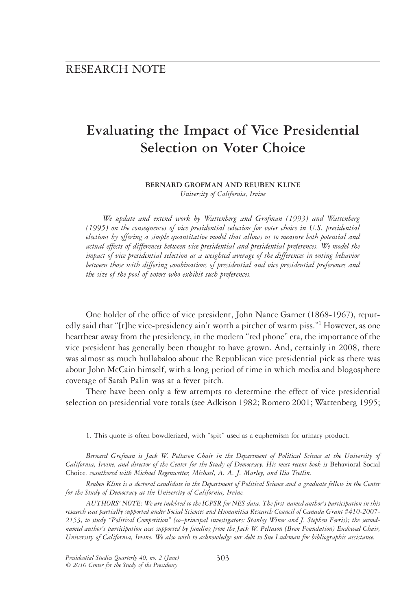## **Evaluating the Impact of Vice Presidential Selection on Voter Choice**

## **BERNARD GROFMAN AND REUBEN KLINE**

*University of California, Irvine*

*We update and extend work by Wattenberg and Grofman (1993) and Wattenberg (1995) on the consequences of vice presidential selection for voter choice in U.S. presidential elections by offering a simple quantitative model that allows us to measure both potential and actual effects of differences between vice presidential and presidential preferences. We model the impact of vice presidential selection as a weighted average of the differences in voting behavior between those with differing combinations of presidential and vice presidential preferences and the size of the pool of voters who exhibit such preferences.*

One holder of the office of vice president, John Nance Garner (1868-1967), reputedly said that "[t]he vice-presidency ain't worth a pitcher of warm piss."<sup>1</sup> However, as one heartbeat away from the presidency, in the modern "red phone" era, the importance of the vice president has generally been thought to have grown. And, certainly in 2008, there was almost as much hullabaloo about the Republican vice presidential pick as there was about John McCain himself, with a long period of time in which media and blogosphere coverage of Sarah Palin was at a fever pitch.

There have been only a few attempts to determine the effect of vice presidential selection on presidential vote totals (see Adkison 1982; Romero 2001; Wattenberg 1995;

<sup>1.</sup> This quote is often bowdlerized, with "spit" used as a euphemism for urinary product.

*Bernard Grofman is Jack W. Peltason Chair in the Department of Political Science at the University of* California, Irvine, and director of the Center for the Study of Democracy. His most recent book is Behavioral Social Choice*, coauthored with Michael Regenwetter, Michael, A. A. J. Marley, and Ilia Tsetlin.*

*Reuben Kline is a doctoral candidate in the Department of Political Science and a graduate fellow in the Center for the Study of Democracy at the University of California, Irvine.*

*AUTHORS' NOTE: We are indebted to the ICPSR for NES data. The first-named author's participation in this research was partially supported under Social Sciences and Humanities Research Council of Canada Grant #410-2007- 2153, to study "Political Competition" (co–principal investigators: Stanley Winer and J. Stephen Ferris); the secondnamed author's participation was supported by funding from the Jack W. Peltason (Bren Foundation) Endowed Chair, University of California, Irvine. We also wish to acknowledge our debt to Sue Ludeman for bibliographic assistance.*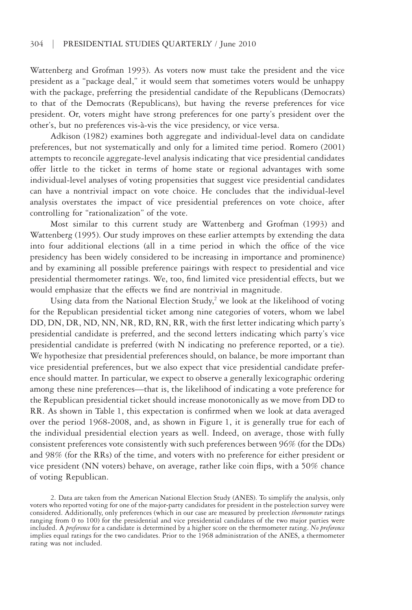Wattenberg and Grofman 1993). As voters now must take the president and the vice president as a "package deal," it would seem that sometimes voters would be unhappy with the package, preferring the presidential candidate of the Republicans (Democrats) to that of the Democrats (Republicans), but having the reverse preferences for vice president. Or, voters might have strong preferences for one party's president over the other's, but no preferences vis-à-vis the vice presidency, or vice versa.

Adkison (1982) examines both aggregate and individual-level data on candidate preferences, but not systematically and only for a limited time period. Romero (2001) attempts to reconcile aggregate-level analysis indicating that vice presidential candidates offer little to the ticket in terms of home state or regional advantages with some individual-level analyses of voting propensities that suggest vice presidential candidates can have a nontrivial impact on vote choice. He concludes that the individual-level analysis overstates the impact of vice presidential preferences on vote choice, after controlling for "rationalization" of the vote.

Most similar to this current study are Wattenberg and Grofman (1993) and Wattenberg (1995). Our study improves on these earlier attempts by extending the data into four additional elections (all in a time period in which the office of the vice presidency has been widely considered to be increasing in importance and prominence) and by examining all possible preference pairings with respect to presidential and vice presidential thermometer ratings. We, too, find limited vice presidential effects, but we would emphasize that the effects we find are nontrivial in magnitude.

Using data from the National Election Study, $2$  we look at the likelihood of voting for the Republican presidential ticket among nine categories of voters, whom we label DD, DN, DR, ND, NN, NR, RD, RN, RR, with the first letter indicating which party's presidential candidate is preferred, and the second letters indicating which party's vice presidential candidate is preferred (with N indicating no preference reported, or a tie). We hypothesize that presidential preferences should, on balance, be more important than vice presidential preferences, but we also expect that vice presidential candidate preference should matter. In particular, we expect to observe a generally lexicographic ordering among these nine preferences—that is, the likelihood of indicating a vote preference for the Republican presidential ticket should increase monotonically as we move from DD to RR. As shown in Table 1, this expectation is confirmed when we look at data averaged over the period 1968-2008, and, as shown in Figure 1, it is generally true for each of the individual presidential election years as well. Indeed, on average, those with fully consistent preferences vote consistently with such preferences between 96% (for the DDs) and 98% (for the RRs) of the time, and voters with no preference for either president or vice president (NN voters) behave, on average, rather like coin flips, with a 50% chance of voting Republican.

<sup>2.</sup> Data are taken from the American National Election Study (ANES). To simplify the analysis, only voters who reported voting for one of the major-party candidates for president in the postelection survey were considered. Additionally, only preferences (which in our case are measured by preelection *thermometer* ratings ranging from 0 to 100) for the presidential and vice presidential candidates of the two major parties were included. A *preference* for a candidate is determined by a higher score on the thermometer rating. *No preference* implies equal ratings for the two candidates. Prior to the 1968 administration of the ANES, a thermometer rating was not included.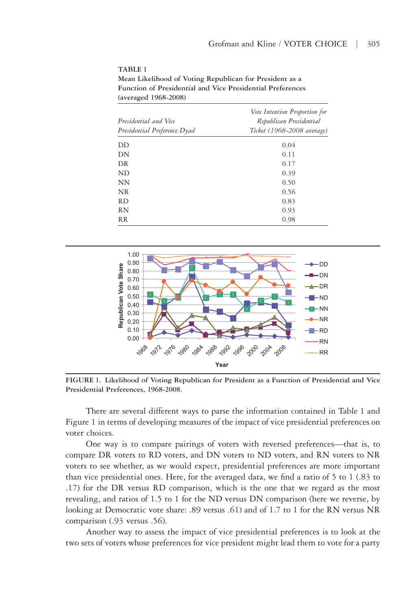| Presidential and Vice<br>Presidential Preference Dyad | Vote Intention Proportion for<br>Republican Presidential<br>Ticket (1968-2008 average) |
|-------------------------------------------------------|----------------------------------------------------------------------------------------|
| DD                                                    | 0.04                                                                                   |
| DΝ                                                    | 0.11                                                                                   |
| DR                                                    | 0.17                                                                                   |
| ND                                                    | 0.39                                                                                   |
| NΝ                                                    | 0.50                                                                                   |
| NR                                                    | 0.56                                                                                   |
| RD                                                    | 0.83                                                                                   |
| RN                                                    | 0.93                                                                                   |
| <b>RR</b>                                             | 0.98                                                                                   |

**TABLE 1 Mean Likelihood of Voting Republican for President as a Function of Presidential and Vice Presidential Preferences (averaged 1968-2008)**



**FIGURE 1. Likelihood of Voting Republican for President as a Function of Presidential and Vice Presidential Preferences, 1968-2008.**

There are several different ways to parse the information contained in Table 1 and Figure 1 in terms of developing measures of the impact of vice presidential preferences on voter choices.

One way is to compare pairings of voters with reversed preferences—that is, to compare DR voters to RD voters, and DN voters to ND voters, and RN voters to NR voters to see whether, as we would expect, presidential preferences are more important than vice presidential ones. Here, for the averaged data, we find a ratio of 5 to 1 (.83 to .17) for the DR versus RD comparison, which is the one that we regard as the most revealing, and ratios of 1.5 to 1 for the ND versus DN comparison (here we reverse, by looking at Democratic vote share: .89 versus .61) and of 1.7 to 1 for the RN versus NR comparison (.93 versus .56).

Another way to assess the impact of vice presidential preferences is to look at the two sets of voters whose preferences for vice president might lead them to vote for a party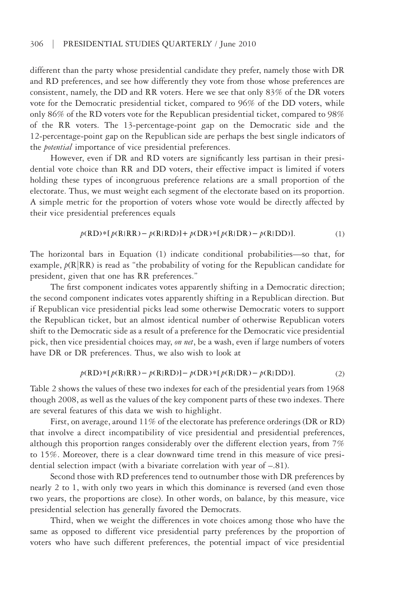different than the party whose presidential candidate they prefer, namely those with DR and RD preferences, and see how differently they vote from those whose preferences are consistent, namely, the DD and RR voters. Here we see that only 83% of the DR voters vote for the Democratic presidential ticket, compared to 96% of the DD voters, while only 86% of the RD voters vote for the Republican presidential ticket, compared to 98% of the RR voters. The 13-percentage-point gap on the Democratic side and the 12-percentage-point gap on the Republican side are perhaps the best single indicators of the *potential* importance of vice presidential preferences.

However, even if DR and RD voters are significantly less partisan in their presidential vote choice than RR and DD voters, their effective impact is limited if voters holding these types of incongruous preference relations are a small proportion of the electorate. Thus, we must weight each segment of the electorate based on its proportion. A simple metric for the proportion of voters whose vote would be directly affected by their vice presidential preferences equals

$$
p(RD)*[p(R|RR) - p(R|RD)] + p(DR)*[p(R|DR) - p(R|DD)].
$$
\n(1)

The horizontal bars in Equation (1) indicate conditional probabilities—so that, for example, *p*(R|RR) is read as "the probability of voting for the Republican candidate for president, given that one has RR preferences."

The first component indicates votes apparently shifting in a Democratic direction; the second component indicates votes apparently shifting in a Republican direction. But if Republican vice presidential picks lead some otherwise Democratic voters to support the Republican ticket, but an almost identical number of otherwise Republican voters shift to the Democratic side as a result of a preference for the Democratic vice presidential pick, then vice presidential choices may, *on net*, be a wash, even if large numbers of voters have DR or DR preferences. Thus, we also wish to look at

$$
p(RD)*[p(R|RR) - p(R|RD)] - p(DR)*[p(R|DR) - p(R|DD)].
$$
\n(2)

Table 2 shows the values of these two indexes for each of the presidential years from 1968 though 2008, as well as the values of the key component parts of these two indexes. There are several features of this data we wish to highlight.

First, on average, around 11% of the electorate has preference orderings (DR or RD) that involve a direct incompatibility of vice presidential and presidential preferences, although this proportion ranges considerably over the different election years, from 7% to 15%. Moreover, there is a clear downward time trend in this measure of vice presidential selection impact (with a bivariate correlation with year of –.81).

Second those with RD preferences tend to outnumber those with DR preferences by nearly 2 to 1, with only two years in which this dominance is reversed (and even those two years, the proportions are close). In other words, on balance, by this measure, vice presidential selection has generally favored the Democrats.

Third, when we weight the differences in vote choices among those who have the same as opposed to different vice presidential party preferences by the proportion of voters who have such different preferences, the potential impact of vice presidential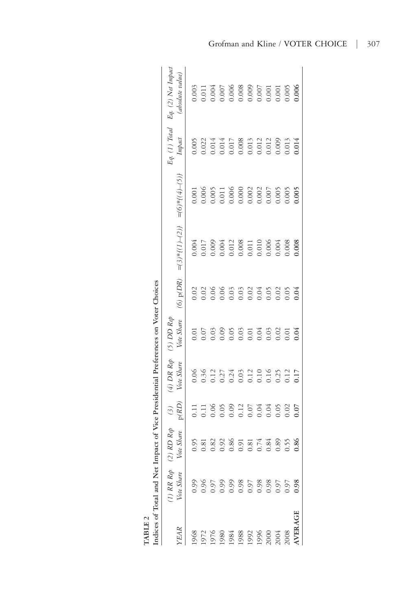| ABLE <sub>2</sub> | Indices of Total and Net Impact of Vice Presidential Preferences on Voter Choices |                                      |                         |                            |                              |                       |                                                                                                                                                                                                                                                                                                     |                                                                                                                                                                                                                                                                       |                                                                                                                                                                                                                                                                                                     |                                                                                                                                                                                                                                                                                                     |
|-------------------|-----------------------------------------------------------------------------------|--------------------------------------|-------------------------|----------------------------|------------------------------|-----------------------|-----------------------------------------------------------------------------------------------------------------------------------------------------------------------------------------------------------------------------------------------------------------------------------------------------|-----------------------------------------------------------------------------------------------------------------------------------------------------------------------------------------------------------------------------------------------------------------------|-----------------------------------------------------------------------------------------------------------------------------------------------------------------------------------------------------------------------------------------------------------------------------------------------------|-----------------------------------------------------------------------------------------------------------------------------------------------------------------------------------------------------------------------------------------------------------------------------------------------------|
| YEAR              | $(1)$ RR Rep $(2)$ R<br>Vote Share                                                | D Rep<br>Share<br>Vote               | p(RD)<br>$\binom{3}{2}$ | $(4)$ DR Rep<br>Vote Share | $(5)$ DD $Rep$<br>Vote Share | $(6)$ p( $DR$ )       | $=(3)*(1)-(2)$                                                                                                                                                                                                                                                                                      | $=(6)*(4)-(5)$                                                                                                                                                                                                                                                        | $Eq. (1)$ Total<br>Impact                                                                                                                                                                                                                                                                           | Eq. (2) Net Impact<br>(absolute value)                                                                                                                                                                                                                                                              |
| 1968              |                                                                                   |                                      |                         |                            |                              | 0.02                  | 0.004                                                                                                                                                                                                                                                                                               | 0.001                                                                                                                                                                                                                                                                 | 0.005                                                                                                                                                                                                                                                                                               |                                                                                                                                                                                                                                                                                                     |
| 1972              |                                                                                   |                                      |                         |                            |                              | 0.02                  |                                                                                                                                                                                                                                                                                                     |                                                                                                                                                                                                                                                                       |                                                                                                                                                                                                                                                                                                     |                                                                                                                                                                                                                                                                                                     |
| 1976              |                                                                                   | 0.81<br>0.81<br>0.0.0.0.0<br>0.0.0.0 |                         |                            |                              |                       |                                                                                                                                                                                                                                                                                                     |                                                                                                                                                                                                                                                                       |                                                                                                                                                                                                                                                                                                     |                                                                                                                                                                                                                                                                                                     |
| 1980              |                                                                                   |                                      |                         |                            |                              |                       |                                                                                                                                                                                                                                                                                                     |                                                                                                                                                                                                                                                                       |                                                                                                                                                                                                                                                                                                     |                                                                                                                                                                                                                                                                                                     |
| 1984              |                                                                                   |                                      |                         |                            |                              |                       |                                                                                                                                                                                                                                                                                                     |                                                                                                                                                                                                                                                                       |                                                                                                                                                                                                                                                                                                     |                                                                                                                                                                                                                                                                                                     |
| 1988              |                                                                                   |                                      |                         |                            |                              |                       |                                                                                                                                                                                                                                                                                                     |                                                                                                                                                                                                                                                                       |                                                                                                                                                                                                                                                                                                     |                                                                                                                                                                                                                                                                                                     |
| 1992              | 8<br>88688868865<br>00000000000                                                   | $0.81$<br>0.74<br>0.84<br>0.89       | 111869215446200         |                            |                              | 0.06<br>0.05<br>0.000 | $\begin{array}{l} 1.017 \\ 0.009 \\ 0.004 \\ 0.012 \\ 0.008 \\ 0.011 \\ 0.000 \\ 0.000 \\ 0.000 \\ 0.000 \\ 0.000 \\ 0.000 \\ 0.000 \\ 0.000 \\ 0.000 \\ 0.000 \\ 0.000 \\ 0.000 \\ 0.000 \\ 0.000 \\ 0.000 \\ 0.000 \\ 0.000 \\ 0.000 \\ 0.000 \\ 0.000 \\ 0.000 \\ 0.000 \\ 0.000 \\ 0.000 \\ 0.$ | $\begin{array}{l} 0.006\\ 0.005\\ 0.011\\ 0.006\\ 0.000\\ 0.000\\ 0.000\\ 0.007\\ 0.005\\ 0.005\\ 0.005\\ 0.005\\ 0.005\\ 0.005\\ 0.005\\ 0.005\\ 0.005\\ 0.005\\ 0.005\\ 0.005\\ 0.005\\ 0.005\\ 0.005\\ 0.005\\ 0.005\\ 0.005\\ 0.005\\ 0.005\\ 0.005\\ 0.005\\ 0.$ | $\begin{array}{l} 0.022 \\ 0.014 \\ 0.017 \\ 0.017 \\ 0.008 \\ 0.0012 \\ 0.012 \\ 0.012 \\ 0.000 \\ 0.000 \\ 0.000 \\ 0.000 \\ 0.000 \\ 0.000 \\ 0.000 \\ 0.000 \\ 0.000 \\ 0.000 \\ 0.000 \\ 0.000 \\ 0.000 \\ 0.000 \\ 0.000 \\ 0.000 \\ 0.000 \\ 0.000 \\ 0.000 \\ 0.000 \\ 0.000 \\ 0.000 \\ 0$ | $\begin{array}{l} 0.003 \\ 0.011 \\ 0.000 \\ 0.000 \\ 0.000 \\ 0.000 \\ 0.000 \\ 0.001 \\ 0.000 \\ 0.000 \\ 0.000 \\ 0.000 \\ 0.000 \\ 0.000 \\ 0.000 \\ 0.000 \\ 0.000 \\ 0.000 \\ 0.000 \\ 0.000 \\ 0.000 \\ 0.000 \\ 0.000 \\ 0.000 \\ 0.000 \\ 0.000 \\ 0.000 \\ 0.000 \\ 0.000 \\ 0.000 \\ 0.$ |
| 1996              |                                                                                   |                                      |                         |                            |                              |                       |                                                                                                                                                                                                                                                                                                     |                                                                                                                                                                                                                                                                       |                                                                                                                                                                                                                                                                                                     |                                                                                                                                                                                                                                                                                                     |
| 2000              |                                                                                   |                                      |                         |                            | 0.03                         | 0.05                  |                                                                                                                                                                                                                                                                                                     |                                                                                                                                                                                                                                                                       |                                                                                                                                                                                                                                                                                                     |                                                                                                                                                                                                                                                                                                     |
| 2004              |                                                                                   |                                      |                         |                            |                              |                       |                                                                                                                                                                                                                                                                                                     |                                                                                                                                                                                                                                                                       |                                                                                                                                                                                                                                                                                                     |                                                                                                                                                                                                                                                                                                     |
| 2008              |                                                                                   | 55                                   |                         | $0.17$<br>$0.17$           | 0.01                         | 0.05                  | 0.008                                                                                                                                                                                                                                                                                               |                                                                                                                                                                                                                                                                       | 0.013                                                                                                                                                                                                                                                                                               |                                                                                                                                                                                                                                                                                                     |
| AVERAGE           | 0.98                                                                              | 86                                   |                         |                            | 0.04                         |                       | 0.008                                                                                                                                                                                                                                                                                               | 0.005                                                                                                                                                                                                                                                                 | 0.014                                                                                                                                                                                                                                                                                               |                                                                                                                                                                                                                                                                                                     |
|                   |                                                                                   |                                      |                         |                            |                              |                       |                                                                                                                                                                                                                                                                                                     |                                                                                                                                                                                                                                                                       |                                                                                                                                                                                                                                                                                                     |                                                                                                                                                                                                                                                                                                     |

| Indices of Total and Net Impact of Vice Presidential Preferences on Voter Choices |       |  |
|-----------------------------------------------------------------------------------|-------|--|
|                                                                                   |       |  |
|                                                                                   |       |  |
|                                                                                   |       |  |
|                                                                                   |       |  |
|                                                                                   |       |  |
|                                                                                   |       |  |
|                                                                                   |       |  |
|                                                                                   | TABLE |  |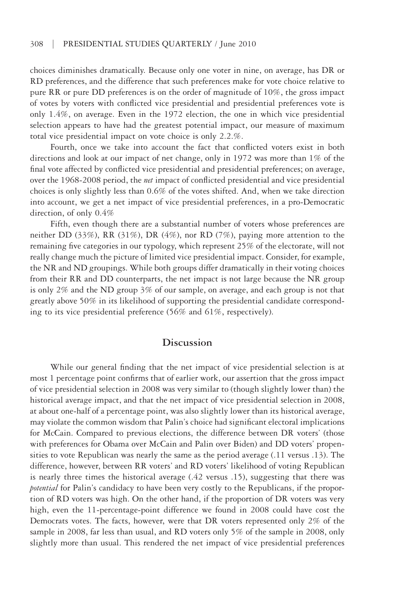choices diminishes dramatically. Because only one voter in nine, on average, has DR or RD preferences, and the difference that such preferences make for vote choice relative to pure RR or pure DD preferences is on the order of magnitude of 10%, the gross impact of votes by voters with conflicted vice presidential and presidential preferences vote is only 1.4%, on average. Even in the 1972 election, the one in which vice presidential selection appears to have had the greatest potential impact, our measure of maximum total vice presidential impact on vote choice is only 2.2.%.

Fourth, once we take into account the fact that conflicted voters exist in both directions and look at our impact of net change, only in 1972 was more than 1% of the final vote affected by conflicted vice presidential and presidential preferences; on average, over the 1968-2008 period, the *net* impact of conflicted presidential and vice presidential choices is only slightly less than 0.6% of the votes shifted. And, when we take direction into account, we get a net impact of vice presidential preferences, in a pro-Democratic direction, of only 0.4%

Fifth, even though there are a substantial number of voters whose preferences are neither DD (33%), RR (31%), DR (4%), nor RD (7%), paying more attention to the remaining five categories in our typology, which represent 25% of the electorate, will not really change much the picture of limited vice presidential impact. Consider, for example, the NR and ND groupings. While both groups differ dramatically in their voting choices from their RR and DD counterparts, the net impact is not large because the NR group is only 2% and the ND group 3% of our sample, on average, and each group is not that greatly above 50% in its likelihood of supporting the presidential candidate corresponding to its vice presidential preference (56% and 61%, respectively).

## **Discussion**

While our general finding that the net impact of vice presidential selection is at most 1 percentage point confirms that of earlier work, our assertion that the gross impact of vice presidential selection in 2008 was very similar to (though slightly lower than) the historical average impact, and that the net impact of vice presidential selection in 2008, at about one-half of a percentage point, was also slightly lower than its historical average, may violate the common wisdom that Palin's choice had significant electoral implications for McCain. Compared to previous elections, the difference between DR voters' (those with preferences for Obama over McCain and Palin over Biden) and DD voters' propensities to vote Republican was nearly the same as the period average (.11 versus .13). The difference, however, between RR voters' and RD voters' likelihood of voting Republican is nearly three times the historical average (.42 versus .15), suggesting that there was *potential* for Palin's candidacy to have been very costly to the Republicans, if the proportion of RD voters was high. On the other hand, if the proportion of DR voters was very high, even the 11-percentage-point difference we found in 2008 could have cost the Democrats votes. The facts, however, were that DR voters represented only 2% of the sample in 2008, far less than usual, and RD voters only 5% of the sample in 2008, only slightly more than usual. This rendered the net impact of vice presidential preferences